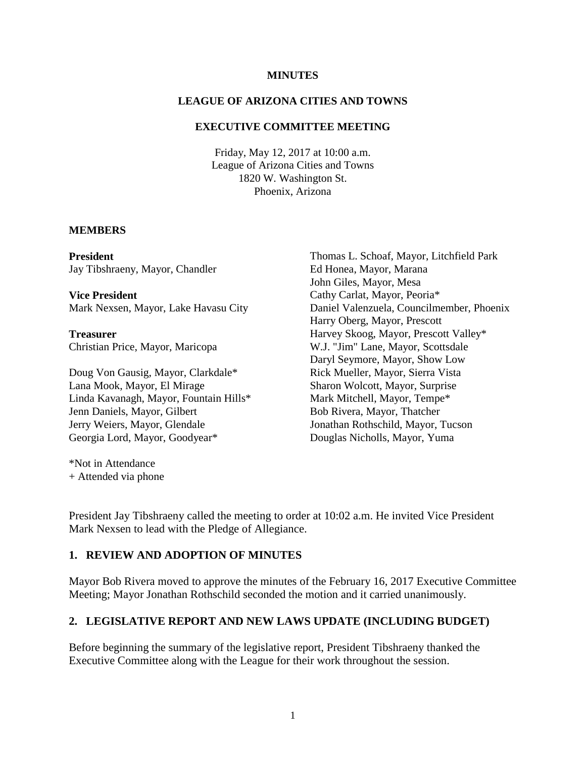#### **MINUTES**

### **LEAGUE OF ARIZONA CITIES AND TOWNS**

### **EXECUTIVE COMMITTEE MEETING**

Friday, May 12, 2017 at 10:00 a.m. League of Arizona Cities and Towns 1820 W. Washington St. Phoenix, Arizona

#### **MEMBERS**

**President** Jay Tibshraeny, Mayor, Chandler

**Vice President** Mark Nexsen, Mayor, Lake Havasu City

**Treasurer** Christian Price, Mayor, Maricopa

Doug Von Gausig, Mayor, Clarkdale\* Lana Mook, Mayor, El Mirage Linda Kavanagh, Mayor, Fountain Hills\* Jenn Daniels, Mayor, Gilbert Jerry Weiers, Mayor, Glendale Georgia Lord, Mayor, Goodyear\*

\*Not in Attendance + Attended via phone

Thomas L. Schoaf, Mayor, Litchfield Park Ed Honea, Mayor, Marana John Giles, Mayor, Mesa Cathy Carlat, Mayor, Peoria\* Daniel Valenzuela, Councilmember, Phoenix Harry Oberg, Mayor, Prescott Harvey Skoog, Mayor, Prescott Valley\* W.J. "Jim" Lane, Mayor, Scottsdale Daryl Seymore, Mayor, Show Low Rick Mueller, Mayor, Sierra Vista Sharon Wolcott, Mayor, Surprise Mark Mitchell, Mayor, Tempe\* Bob Rivera, Mayor, Thatcher Jonathan Rothschild, Mayor, Tucson Douglas Nicholls, Mayor, Yuma

President Jay Tibshraeny called the meeting to order at 10:02 a.m. He invited Vice President Mark Nexsen to lead with the Pledge of Allegiance.

## **1. REVIEW AND ADOPTION OF MINUTES**

Mayor Bob Rivera moved to approve the minutes of the February 16, 2017 Executive Committee Meeting; Mayor Jonathan Rothschild seconded the motion and it carried unanimously.

### **2. LEGISLATIVE REPORT AND NEW LAWS UPDATE (INCLUDING BUDGET)**

Before beginning the summary of the legislative report, President Tibshraeny thanked the Executive Committee along with the League for their work throughout the session.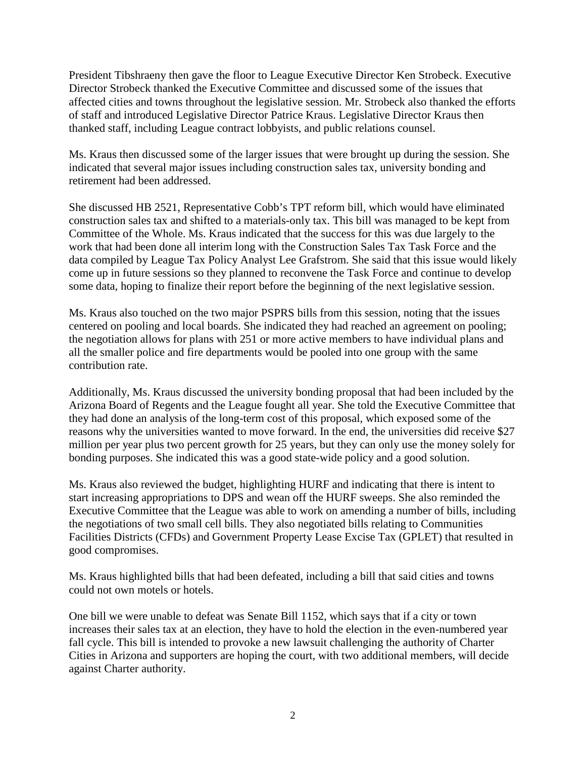President Tibshraeny then gave the floor to League Executive Director Ken Strobeck. Executive Director Strobeck thanked the Executive Committee and discussed some of the issues that affected cities and towns throughout the legislative session. Mr. Strobeck also thanked the efforts of staff and introduced Legislative Director Patrice Kraus. Legislative Director Kraus then thanked staff, including League contract lobbyists, and public relations counsel.

Ms. Kraus then discussed some of the larger issues that were brought up during the session. She indicated that several major issues including construction sales tax, university bonding and retirement had been addressed.

She discussed HB 2521, Representative Cobb's TPT reform bill, which would have eliminated construction sales tax and shifted to a materials-only tax. This bill was managed to be kept from Committee of the Whole. Ms. Kraus indicated that the success for this was due largely to the work that had been done all interim long with the Construction Sales Tax Task Force and the data compiled by League Tax Policy Analyst Lee Grafstrom. She said that this issue would likely come up in future sessions so they planned to reconvene the Task Force and continue to develop some data, hoping to finalize their report before the beginning of the next legislative session.

Ms. Kraus also touched on the two major PSPRS bills from this session, noting that the issues centered on pooling and local boards. She indicated they had reached an agreement on pooling; the negotiation allows for plans with 251 or more active members to have individual plans and all the smaller police and fire departments would be pooled into one group with the same contribution rate.

Additionally, Ms. Kraus discussed the university bonding proposal that had been included by the Arizona Board of Regents and the League fought all year. She told the Executive Committee that they had done an analysis of the long-term cost of this proposal, which exposed some of the reasons why the universities wanted to move forward. In the end, the universities did receive \$27 million per year plus two percent growth for 25 years, but they can only use the money solely for bonding purposes. She indicated this was a good state-wide policy and a good solution.

Ms. Kraus also reviewed the budget, highlighting HURF and indicating that there is intent to start increasing appropriations to DPS and wean off the HURF sweeps. She also reminded the Executive Committee that the League was able to work on amending a number of bills, including the negotiations of two small cell bills. They also negotiated bills relating to Communities Facilities Districts (CFDs) and Government Property Lease Excise Tax (GPLET) that resulted in good compromises.

Ms. Kraus highlighted bills that had been defeated, including a bill that said cities and towns could not own motels or hotels.

One bill we were unable to defeat was Senate Bill 1152, which says that if a city or town increases their sales tax at an election, they have to hold the election in the even-numbered year fall cycle. This bill is intended to provoke a new lawsuit challenging the authority of Charter Cities in Arizona and supporters are hoping the court, with two additional members, will decide against Charter authority.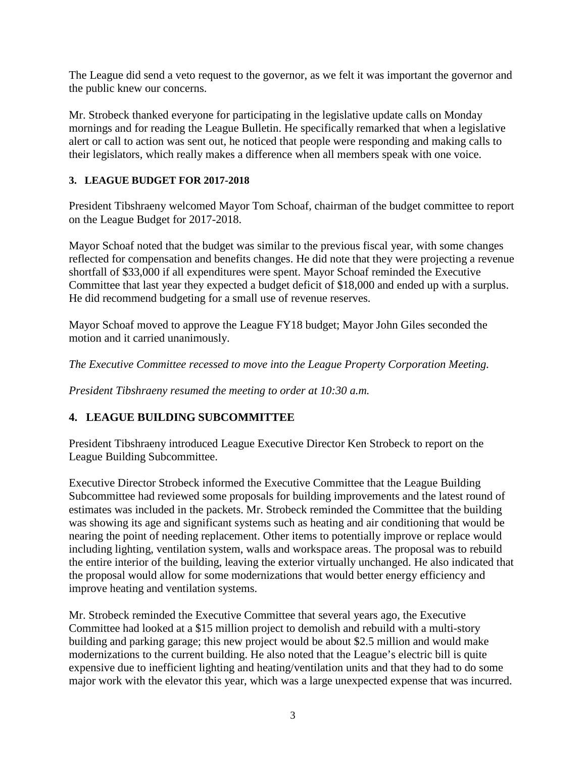The League did send a veto request to the governor, as we felt it was important the governor and the public knew our concerns.

Mr. Strobeck thanked everyone for participating in the legislative update calls on Monday mornings and for reading the League Bulletin. He specifically remarked that when a legislative alert or call to action was sent out, he noticed that people were responding and making calls to their legislators, which really makes a difference when all members speak with one voice.

## **3. LEAGUE BUDGET FOR 2017-2018**

President Tibshraeny welcomed Mayor Tom Schoaf, chairman of the budget committee to report on the League Budget for 2017-2018.

Mayor Schoaf noted that the budget was similar to the previous fiscal year, with some changes reflected for compensation and benefits changes. He did note that they were projecting a revenue shortfall of \$33,000 if all expenditures were spent. Mayor Schoaf reminded the Executive Committee that last year they expected a budget deficit of \$18,000 and ended up with a surplus. He did recommend budgeting for a small use of revenue reserves.

Mayor Schoaf moved to approve the League FY18 budget; Mayor John Giles seconded the motion and it carried unanimously.

*The Executive Committee recessed to move into the League Property Corporation Meeting.* 

*President Tibshraeny resumed the meeting to order at 10:30 a.m.* 

## **4. LEAGUE BUILDING SUBCOMMITTEE**

President Tibshraeny introduced League Executive Director Ken Strobeck to report on the League Building Subcommittee.

Executive Director Strobeck informed the Executive Committee that the League Building Subcommittee had reviewed some proposals for building improvements and the latest round of estimates was included in the packets. Mr. Strobeck reminded the Committee that the building was showing its age and significant systems such as heating and air conditioning that would be nearing the point of needing replacement. Other items to potentially improve or replace would including lighting, ventilation system, walls and workspace areas. The proposal was to rebuild the entire interior of the building, leaving the exterior virtually unchanged. He also indicated that the proposal would allow for some modernizations that would better energy efficiency and improve heating and ventilation systems.

Mr. Strobeck reminded the Executive Committee that several years ago, the Executive Committee had looked at a \$15 million project to demolish and rebuild with a multi-story building and parking garage; this new project would be about \$2.5 million and would make modernizations to the current building. He also noted that the League's electric bill is quite expensive due to inefficient lighting and heating/ventilation units and that they had to do some major work with the elevator this year, which was a large unexpected expense that was incurred.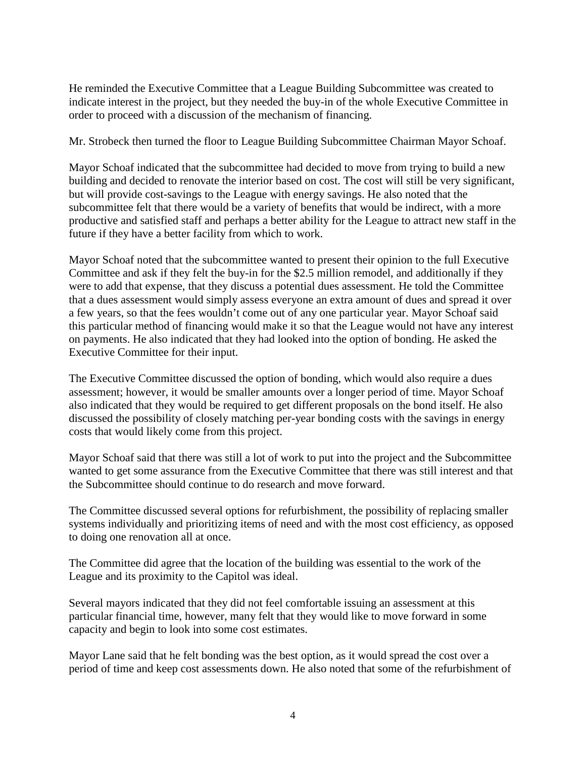He reminded the Executive Committee that a League Building Subcommittee was created to indicate interest in the project, but they needed the buy-in of the whole Executive Committee in order to proceed with a discussion of the mechanism of financing.

Mr. Strobeck then turned the floor to League Building Subcommittee Chairman Mayor Schoaf.

Mayor Schoaf indicated that the subcommittee had decided to move from trying to build a new building and decided to renovate the interior based on cost. The cost will still be very significant, but will provide cost-savings to the League with energy savings. He also noted that the subcommittee felt that there would be a variety of benefits that would be indirect, with a more productive and satisfied staff and perhaps a better ability for the League to attract new staff in the future if they have a better facility from which to work.

Mayor Schoaf noted that the subcommittee wanted to present their opinion to the full Executive Committee and ask if they felt the buy-in for the \$2.5 million remodel, and additionally if they were to add that expense, that they discuss a potential dues assessment. He told the Committee that a dues assessment would simply assess everyone an extra amount of dues and spread it over a few years, so that the fees wouldn't come out of any one particular year. Mayor Schoaf said this particular method of financing would make it so that the League would not have any interest on payments. He also indicated that they had looked into the option of bonding. He asked the Executive Committee for their input.

The Executive Committee discussed the option of bonding, which would also require a dues assessment; however, it would be smaller amounts over a longer period of time. Mayor Schoaf also indicated that they would be required to get different proposals on the bond itself. He also discussed the possibility of closely matching per-year bonding costs with the savings in energy costs that would likely come from this project.

Mayor Schoaf said that there was still a lot of work to put into the project and the Subcommittee wanted to get some assurance from the Executive Committee that there was still interest and that the Subcommittee should continue to do research and move forward.

The Committee discussed several options for refurbishment, the possibility of replacing smaller systems individually and prioritizing items of need and with the most cost efficiency, as opposed to doing one renovation all at once.

The Committee did agree that the location of the building was essential to the work of the League and its proximity to the Capitol was ideal.

Several mayors indicated that they did not feel comfortable issuing an assessment at this particular financial time, however, many felt that they would like to move forward in some capacity and begin to look into some cost estimates.

Mayor Lane said that he felt bonding was the best option, as it would spread the cost over a period of time and keep cost assessments down. He also noted that some of the refurbishment of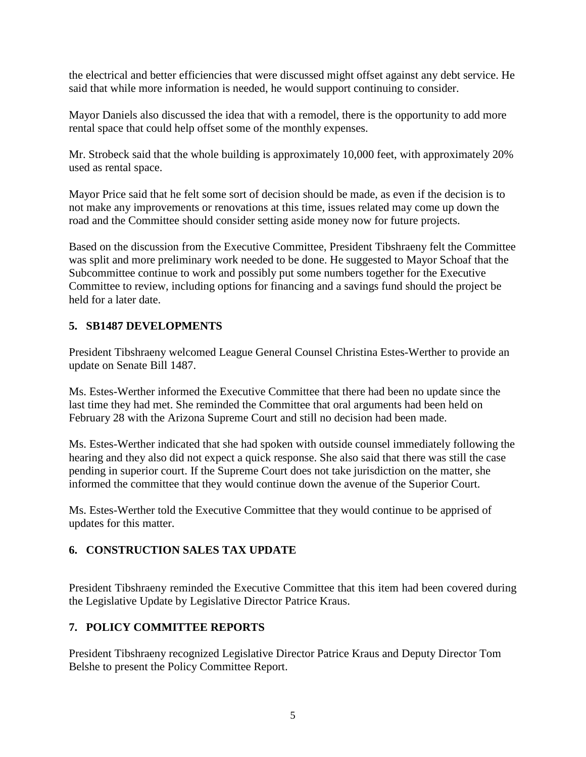the electrical and better efficiencies that were discussed might offset against any debt service. He said that while more information is needed, he would support continuing to consider.

Mayor Daniels also discussed the idea that with a remodel, there is the opportunity to add more rental space that could help offset some of the monthly expenses.

Mr. Strobeck said that the whole building is approximately 10,000 feet, with approximately 20% used as rental space.

Mayor Price said that he felt some sort of decision should be made, as even if the decision is to not make any improvements or renovations at this time, issues related may come up down the road and the Committee should consider setting aside money now for future projects.

Based on the discussion from the Executive Committee, President Tibshraeny felt the Committee was split and more preliminary work needed to be done. He suggested to Mayor Schoaf that the Subcommittee continue to work and possibly put some numbers together for the Executive Committee to review, including options for financing and a savings fund should the project be held for a later date.

# **5. SB1487 DEVELOPMENTS**

President Tibshraeny welcomed League General Counsel Christina Estes-Werther to provide an update on Senate Bill 1487.

Ms. Estes-Werther informed the Executive Committee that there had been no update since the last time they had met. She reminded the Committee that oral arguments had been held on February 28 with the Arizona Supreme Court and still no decision had been made.

Ms. Estes-Werther indicated that she had spoken with outside counsel immediately following the hearing and they also did not expect a quick response. She also said that there was still the case pending in superior court. If the Supreme Court does not take jurisdiction on the matter, she informed the committee that they would continue down the avenue of the Superior Court.

Ms. Estes-Werther told the Executive Committee that they would continue to be apprised of updates for this matter.

# **6. CONSTRUCTION SALES TAX UPDATE**

President Tibshraeny reminded the Executive Committee that this item had been covered during the Legislative Update by Legislative Director Patrice Kraus.

# **7. POLICY COMMITTEE REPORTS**

President Tibshraeny recognized Legislative Director Patrice Kraus and Deputy Director Tom Belshe to present the Policy Committee Report.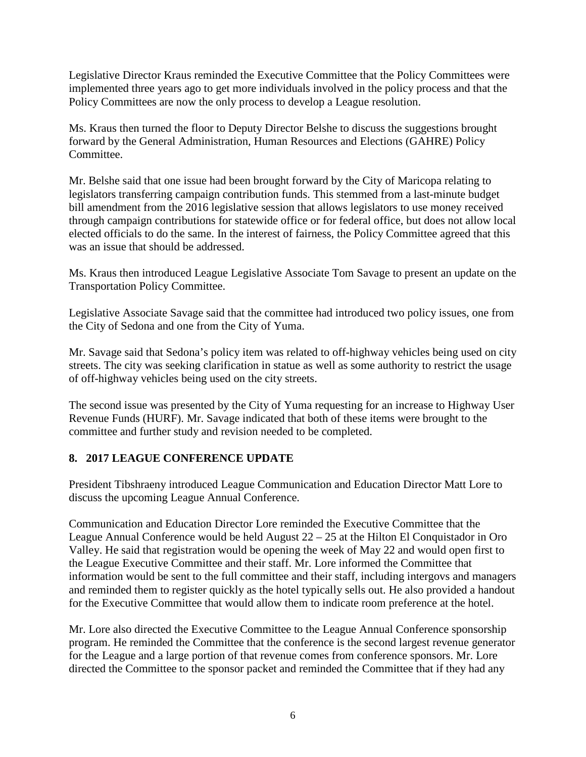Legislative Director Kraus reminded the Executive Committee that the Policy Committees were implemented three years ago to get more individuals involved in the policy process and that the Policy Committees are now the only process to develop a League resolution.

Ms. Kraus then turned the floor to Deputy Director Belshe to discuss the suggestions brought forward by the General Administration, Human Resources and Elections (GAHRE) Policy Committee.

Mr. Belshe said that one issue had been brought forward by the City of Maricopa relating to legislators transferring campaign contribution funds. This stemmed from a last-minute budget bill amendment from the 2016 legislative session that allows legislators to use money received through campaign contributions for statewide office or for federal office, but does not allow local elected officials to do the same. In the interest of fairness, the Policy Committee agreed that this was an issue that should be addressed.

Ms. Kraus then introduced League Legislative Associate Tom Savage to present an update on the Transportation Policy Committee.

Legislative Associate Savage said that the committee had introduced two policy issues, one from the City of Sedona and one from the City of Yuma.

Mr. Savage said that Sedona's policy item was related to off-highway vehicles being used on city streets. The city was seeking clarification in statue as well as some authority to restrict the usage of off-highway vehicles being used on the city streets.

The second issue was presented by the City of Yuma requesting for an increase to Highway User Revenue Funds (HURF). Mr. Savage indicated that both of these items were brought to the committee and further study and revision needed to be completed.

## **8. 2017 LEAGUE CONFERENCE UPDATE**

President Tibshraeny introduced League Communication and Education Director Matt Lore to discuss the upcoming League Annual Conference.

Communication and Education Director Lore reminded the Executive Committee that the League Annual Conference would be held August 22 – 25 at the Hilton El Conquistador in Oro Valley. He said that registration would be opening the week of May 22 and would open first to the League Executive Committee and their staff. Mr. Lore informed the Committee that information would be sent to the full committee and their staff, including intergovs and managers and reminded them to register quickly as the hotel typically sells out. He also provided a handout for the Executive Committee that would allow them to indicate room preference at the hotel.

Mr. Lore also directed the Executive Committee to the League Annual Conference sponsorship program. He reminded the Committee that the conference is the second largest revenue generator for the League and a large portion of that revenue comes from conference sponsors. Mr. Lore directed the Committee to the sponsor packet and reminded the Committee that if they had any